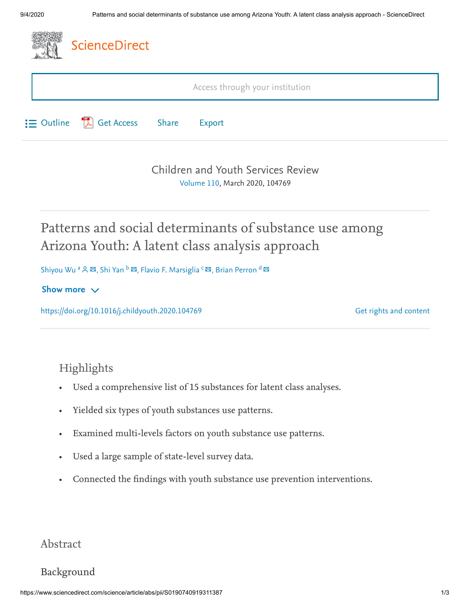

[Children and Youth Services Review](https://www.sciencedirect.com/science/journal/01907409) [Volume 110,](https://www.sciencedirect.com/science/journal/01907409/110/supp/C) March 2020, 104769

# Patterns and social determinants of substance use among Arizona Youth: A latent class analysis approach

Shiyou Wu <sup>a</sup> ዶ ¤, Shi Yan <sup>b</sup> ¤, Flavio F. Marsiglia <sup>c </sup>¤, Brian Perron <sup>d</sup>

#### Show more  $\vee$

<https://doi.org/10.1016/j.childyouth.2020.104769>

[Get rights and content](https://s100.copyright.com/AppDispatchServlet?publisherName=ELS&contentID=S0190740919311387&orderBeanReset=true)

### Highlights

- Used a comprehensive list of 15 substances for latent class analyses.
- Yielded six types of youth substances use patterns.
- Examined multi-levels factors on youth substance use patterns.
- Used a large sample of state-level survey data.
- Connected the findings with youth substance use prevention interventions.

#### Abstract

#### Background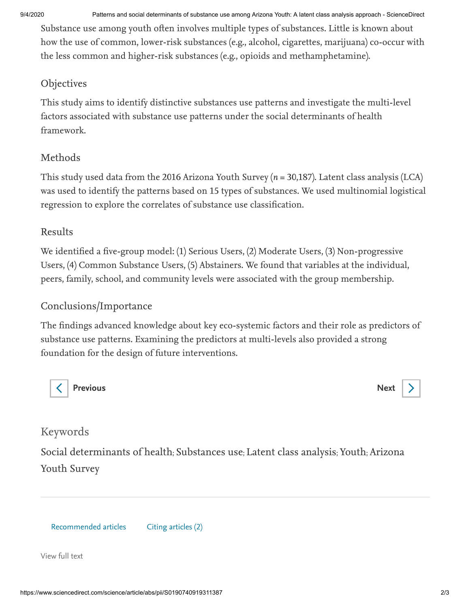9/4/2020 Patterns and social determinants of substance use among Arizona Youth: A latent class analysis approach - ScienceDirect

Substance use among youth often involves multiple types of substances. Little is known about how the use of common, lower-risk substances (e.g., alcohol, cigarettes, marijuana) co-occur with the less common and higher-risk substances (e.g., opioids and methamphetamine).

#### Objectives

This study aims to identify distinctive substances use patterns and investigate the multi-level factors associated with substance use patterns under the social determinants of health framework.

#### Methods

This study used data from the 2016 Arizona Youth Survey ( $n = 30,187$ ). Latent class analysis (LCA) was used to identify the patterns based on 15 types of substances. We used multinomial logistical regression to explore the correlates of substance use classification.

#### Results

We identified a five-group model: (1) Serious Users, (2) Moderate Users, (3) Non-progressive Users, (4) Common Substance Users, (5) Abstainers. We found that variables at the individual, peers, family, school, and community levels were associated with the group membership.

### Conclusions/Importance

The findings advanced knowledge about key eco-systemic factors and their role as predictors of substance use patterns. Examining the predictors at multi-levels also provided a strong foundation for the design of future interventions.



[Previous](https://www.sciencedirect.com/science/article/pii/S0190740919310655) **[Next](https://www.sciencedirect.com/science/article/pii/S0190740919312307)** 

## Keywords

Social determinants of health; Substances use; Latent class analysis; Youth; Arizona Youth Survey

Recommended articles Citing articles (2)

[View full text](https://www.sciencedirect.com/science/article/pii/S0190740919311387)